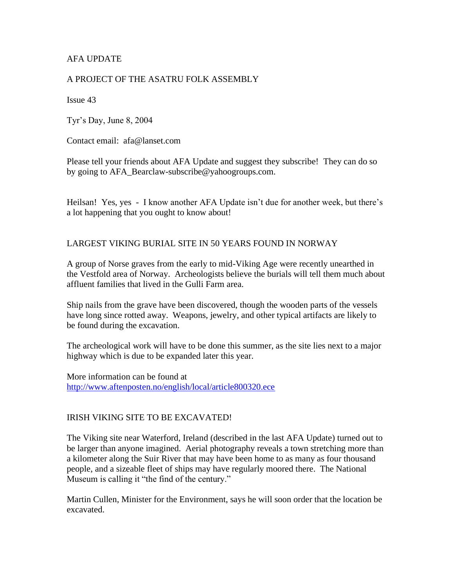# AFA UPDATE

#### A PROJECT OF THE ASATRU FOLK ASSEMBLY

Issue 43

Tyr's Day, June 8, 2004

Contact email: afa@lanset.com

Please tell your friends about AFA Update and suggest they subscribe! They can do so by going to AFA\_Bearclaw-subscribe@yahoogroups.com.

Heilsan! Yes, yes - I know another AFA Update isn't due for another week, but there's a lot happening that you ought to know about!

#### LARGEST VIKING BURIAL SITE IN 50 YEARS FOUND IN NORWAY

A group of Norse graves from the early to mid-Viking Age were recently unearthed in the Vestfold area of Norway. Archeologists believe the burials will tell them much about affluent families that lived in the Gulli Farm area.

Ship nails from the grave have been discovered, though the wooden parts of the vessels have long since rotted away. Weapons, jewelry, and other typical artifacts are likely to be found during the excavation.

The archeological work will have to be done this summer, as the site lies next to a major highway which is due to be expanded later this year.

More information can be found at <http://www.aftenposten.no/english/local/article800320.ece>

#### IRISH VIKING SITE TO BE EXCAVATED!

The Viking site near Waterford, Ireland (described in the last AFA Update) turned out to be larger than anyone imagined. Aerial photography reveals a town stretching more than a kilometer along the Suir River that may have been home to as many as four thousand people, and a sizeable fleet of ships may have regularly moored there. The National Museum is calling it "the find of the century."

Martin Cullen, Minister for the Environment, says he will soon order that the location be excavated.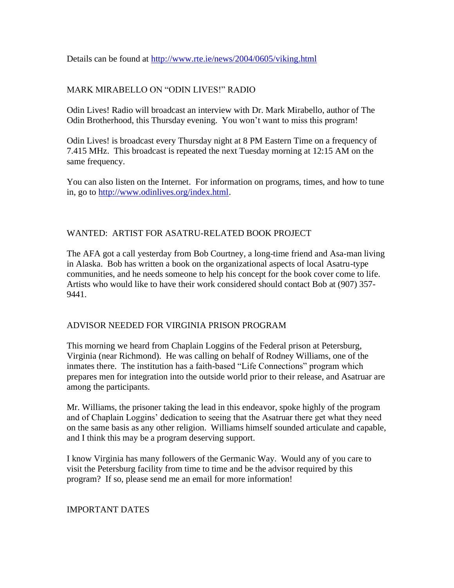Details can be found at<http://www.rte.ie/news/2004/0605/viking.html>

# MARK MIRABELLO ON "ODIN LIVES!" RADIO

Odin Lives! Radio will broadcast an interview with Dr. Mark Mirabello, author of The Odin Brotherhood, this Thursday evening. You won't want to miss this program!

Odin Lives! is broadcast every Thursday night at 8 PM Eastern Time on a frequency of 7.415 MHz. This broadcast is repeated the next Tuesday morning at 12:15 AM on the same frequency.

You can also listen on the Internet. For information on programs, times, and how to tune in, go to [http://www.odinlives.org/index.html.](http://www.odinlives.org/index.html)

# WANTED: ARTIST FOR ASATRU-RELATED BOOK PROJECT

The AFA got a call yesterday from Bob Courtney, a long-time friend and Asa-man living in Alaska. Bob has written a book on the organizational aspects of local Asatru-type communities, and he needs someone to help his concept for the book cover come to life. Artists who would like to have their work considered should contact Bob at (907) 357- 9441.

# ADVISOR NEEDED FOR VIRGINIA PRISON PROGRAM

This morning we heard from Chaplain Loggins of the Federal prison at Petersburg, Virginia (near Richmond). He was calling on behalf of Rodney Williams, one of the inmates there. The institution has a faith-based "Life Connections" program which prepares men for integration into the outside world prior to their release, and Asatruar are among the participants.

Mr. Williams, the prisoner taking the lead in this endeavor, spoke highly of the program and of Chaplain Loggins' dedication to seeing that the Asatruar there get what they need on the same basis as any other religion. Williams himself sounded articulate and capable, and I think this may be a program deserving support.

I know Virginia has many followers of the Germanic Way. Would any of you care to visit the Petersburg facility from time to time and be the advisor required by this program? If so, please send me an email for more information!

# IMPORTANT DATES